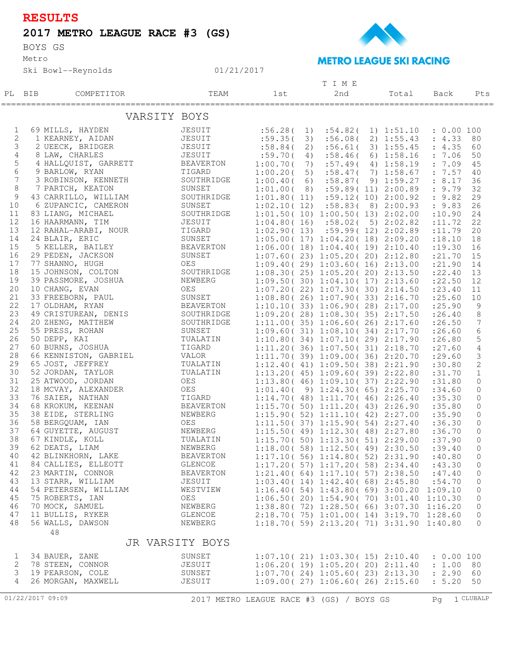## **RESULTS**

## **2017 METRO LEAGUE RACE #3 (GS)**

BOYS GS

Metro

Ski Bowl--Reynolds



## **METRO LEAGUE SKI RACING**

|                  |        |                       |                                          |             |    | TIME                                            |  |                     |            |                 |
|------------------|--------|-----------------------|------------------------------------------|-------------|----|-------------------------------------------------|--|---------------------|------------|-----------------|
|                  | PL BIB | COMPETITOR            | TEAM                                     | 1st         |    | 2nd                                             |  | Total               | Back       | Pts             |
|                  |        |                       |                                          |             |    |                                                 |  |                     |            |                 |
|                  |        |                       |                                          |             |    |                                                 |  |                     |            |                 |
|                  |        | VARSITY BOYS          |                                          |             |    |                                                 |  |                     |            |                 |
|                  |        |                       |                                          |             |    |                                                 |  |                     |            |                 |
| 1                |        | 69 MILLS, HAYDEN      | JESUIT                                   | :56.28(     | 1) | :54.82(                                         |  | 1) 1:51.10          | : 0.00100  |                 |
| $\overline{2}$   |        | 1 KEARNEY, AIDAN      | JESUIT                                   | :59.35(     | 3) | :56.08(                                         |  | 2) 1:55.43          | : 4.33 80  |                 |
| 3                |        | 2 UEECK, BRIDGER      | JESUIT                                   | :58.84(     | 2) | :56.61(                                         |  | 3) 1:55.45          | : 4.35     | 60              |
| 4                |        | 8 LAW, CHARLES        | JESUIT                                   | :59.70(     | 4) | :58.46(                                         |  | $6)$ 1:58.16        | : 7.06     | 50              |
| 5                |        | 4 HALLQUIST, GARRETT  | BEAVERTON                                | 1:00.70(    | 7) | :57.49(                                         |  | 4) 1:58.19          | : 7.09     | 45              |
| 6                |        | 9 BARLOW, RYAN        | TIGARD                                   | 1:00.20(    | 5) |                                                 |  | $:58.47(7)$ 1:58.67 | : 7.57     | 40              |
| 7                |        | 3 ROBINSON, KENNETH   | SOUTHRIDGE                               | 1:00.40(    | 6) |                                                 |  | :58.87(9)1:59.27    | : 8.17     | 36              |
| 8                |        | 7 PARTCH, KEATON      | SUNSET                                   | 1:01.00(8)  |    |                                                 |  | :59.89(11)2:00.89   | : 9.79     | 32              |
| 9                |        | 43 CARRILLO, WILLIAM  | SOUTHRIDGE                               |             |    | $1:01.80(11)$ $:59.12(10)$ $2:00.92$            |  |                     | : 9.82     | 29              |
| 10               |        | 6 ZUPANCIC, CAMERON   | SUNSET                                   | 1:02.10(12) |    |                                                 |  | $:58.83(8)$ 2:00.93 | : 9.83     | 26              |
| 11               |        | 83 LIANG, MICHAEL     | SOUTHRIDGE                               |             |    | 1:01.50(10) 1:00.50(13) 2:02.00                 |  |                     | :10.90     | 24              |
| 12               |        | 16 HAARMANN, TIM      | JESUIT                                   |             |    | $1:04.80(16)$ $:58.02(5)$ $2:02.82$             |  |                     |            | 22              |
| 13               |        |                       |                                          |             |    |                                                 |  |                     | : 11.72    |                 |
|                  |        | 12 RAHAL-ARABI, NOUR  | TIGARD                                   |             |    | $1:02.90(13)$ $:59.99(12)$ $2:02.89$            |  |                     | : 11.79    | 20              |
| 14               |        | 24 BLAIR, ERIC        | SUNSET                                   |             |    | 1:05.00(17) 1:04.20(18) 2:09.20                 |  |                     | : 18.10    | 18              |
| 15               |        | 5 KELLER, BAILEY      | BEAVERTON                                |             |    | 1:06.00(18) 1:04.40(19) 2:10.40                 |  |                     | : 19.30    | 16              |
| 16               |        | 29 PEDEN, JACKSON     | SUNSET                                   |             |    | 1:07.60(23)1:05.20(20)2:12.80                   |  |                     | : 21.70    | 15              |
| 17               |        | 77 SHANNO, HUGH       | OES                                      |             |    | 1:09.40(29)1:03.60(16)2:13.00                   |  |                     | : 21.90    | 14              |
| 18               |        | 15 JOHNSON, COLTON    | SOUTHRIDGE                               |             |    | $1:08.30(25)$ $1:05.20(20)$ $2:13.50$           |  |                     | : 22.40    | 13              |
| 19               |        | 39 PASSMORE, JOSHUA   | NEWBERG                                  |             |    | 1:09.50(30)1:04.10(17)2:13.60                   |  |                     | : 22.50    | 12              |
| 20               |        | 10 CHANG, EVAN        | OES                                      |             |    | 1:07.20(22)1:07.30(30)2:14.50                   |  |                     | : 23.40    | 11              |
| 21               |        | 33 FREEBORN, PAUL     | SUNSET                                   |             |    | 1:08.80(26)1:07.90(33)2:16.70                   |  |                     | : 25.60    | 10              |
| 22               |        | 17 OLDHAM, RYAN       | BEAVERTON                                |             |    | 1:10.10(33)1:06.90(28)2:17.00                   |  |                     | : 25.90    | 9               |
| 23               |        | 49 CRISTUREAN, DENIS  | SOUTHRIDGE                               |             |    | 1:09.20(28)1:08.30(35)2:17.50                   |  |                     | : 26.40    | 8               |
| 24               |        | 20 ZHENG, MATTHEW     | SOUTHRIDGE                               |             |    | 1:11.00(35)1:06.60(26)2:17.60                   |  |                     | : 26.50    | $7\phantom{.0}$ |
| 25               |        | 55 PRESS, ROHAN       | SUNSET                                   |             |    | 1:09.60(31) 1:08.10(34) 2:17.70                 |  |                     | : 26.60    | 6               |
| 26               |        | 50 DEPP, KAI          | TUALATIN                                 |             |    | 1:10.80(34)1:07.10(29)2:17.90                   |  |                     | : 26.80    | 5               |
| 27               |        | 60 BURNS, JOSHUA      | TIGARD                                   |             |    |                                                 |  |                     |            |                 |
| 28               |        |                       |                                          |             |    | 1:11.20(36)1:07.50(31)2:18.70                   |  |                     | : 27.60    | $\overline{4}$  |
|                  |        | 66 KENNISTON, GABRIEL | VALOR                                    |             |    | 1:11.70(39)1:09.00(36)2:20.70                   |  |                     | : 29.60    | 3               |
| 29               |        | 65 JOST, JEFFREY      | TUALATIN                                 |             |    | 1:12.40(41)1:09.50(38)2:21.90                   |  |                     | :30.80     | 2               |
| 30               |        | 52 JORDAN, TAYLOR     | TUALATIN                                 |             |    | 1:13.20(45)1:09.60(39)2:22.80                   |  |                     | :31.70     | $\mathbf{1}$    |
| 31               |        | 25 ATWOOD, JORDAN     | OES                                      |             |    | 1:13.80(46)1:09.10(37)2:22.90                   |  |                     | :31.80     | $\circ$         |
| 32               |        | 18 MCVAY, ALEXANDER   | OES                                      |             |    | 1:01.40(9) 1:24.30(65) 2:25.70                  |  |                     | :34.60     | $\mathbf{0}$    |
| 33               |        | 76 SAIER, NATHAN      | TIGARD                                   |             |    | 1:14.70(48)1:11.70(46)2:26.40                   |  |                     | :35.30     | $\circ$         |
| 34               |        | 68 KROKUM, KEENAN     | BEAVERTON                                |             |    | 1:15.70(50) 1:11.20(43) 2:26.90                 |  |                     | :35.80     | $\circ$         |
| 35               |        | 38 EIDE, STERLING     | NEWBERG                                  |             |    | 1:15.90(52) 1:11.10(42) 2:27.00                 |  |                     | :35.90     | 0               |
| 36               |        | 58 BERGQUAM, IAN      | OES                                      |             |    | 1:11.50(37)1:15.90(54)2:27.40                   |  |                     | :36.30     | $\circ$         |
| 37               |        | 64 GUYETTE, AUGUST    | NEWBERG                                  |             |    | 1:15.50(49)1:12.30(48)2:27.80                   |  |                     | :36.70     | $\circ$         |
| 38               |        | 67 KINDLE, KOLL       | TUALATIN                                 |             |    | 1:15.70(50) 1:13.30(51) 2:29.00                 |  |                     | :37.90     | $\Omega$        |
| 39               |        | 62 DEATS, LIAM        | NEWBERG                                  |             |    | 1:18.00(58) 1:12.50(49) 2:30.50                 |  |                     | :39.40     | $\Omega$        |
| 40               |        | 42 BLINKHORN, LAKE    | <b>BEAVERTON</b>                         |             |    | 1:17.10(56) 1:14.80(52) 2:31.90                 |  |                     | :40.80     | 0               |
| 41               |        | 84 CALLIES, ELLEOTT   | GLENCOE                                  |             |    | $1:17.20(57)$ $1:17.20(58)$ $2:34.40$           |  |                     | :43.30     | 0               |
| 42               |        | 23 MARTIN, CONNOR     | BEAVERTON                                |             |    | 1:21.40(64) 1:17.10(57) 2:38.50                 |  |                     | :47.40     | 0               |
| 43               |        | 13 STARR, WILLIAM     | JESUIT                                   |             |    | 1:03.40(14) 1:42.40(68) 2:45.80                 |  |                     | :54.70     | $\circ$         |
| 44               |        |                       |                                          |             |    |                                                 |  |                     |            |                 |
|                  |        | 54 PETERSEN, WILLIAM  | WESTVIEW                                 |             |    | 1:16.40(54) 1:43.80(69) 3:00.20                 |  |                     | 1:09.10    | 0               |
| 45               |        | 75 ROBERTS, IAN       | OES                                      |             |    | 1:06.50(20) 1:54.90(70) 3:01.40                 |  |                     | 1:10.30    | 0               |
| 46               |        | 70 MOCK, SAMUEL       | NEWBERG                                  |             |    | 1:38.80 ( 72) 1:28.50 ( 66) 3:07.30 1:16.20     |  |                     |            | $\circ$         |
| 47               |        | 11 BULLIS, RYKER      | GLENCOE                                  |             |    | 2:18.70 ( 75) 1:01.00 ( 14) 3:19.70 1:28.60     |  |                     |            | 0               |
| 48               |        | 56 WALLS, DAWSON      | NEWBERG                                  |             |    | $1:18.70(59)$ $2:13.20(71)$ $3:31.90$ $1:40.80$ |  |                     |            | $\mathbf{0}$    |
|                  |        | 48                    |                                          |             |    |                                                 |  |                     |            |                 |
| JR VARSITY BOYS  |        |                       |                                          |             |    |                                                 |  |                     |            |                 |
|                  |        |                       |                                          |             |    |                                                 |  |                     |            |                 |
| 1                |        | 34 BAUER, ZANE        | SUNSET                                   |             |    | 1:07.10(21)1:03.30(15)2:10.40                   |  |                     | : 0.00 100 |                 |
| 2                |        | 78 STEEN, CONNOR      | JESUIT                                   |             |    | 1:06.20(19) 1:05.20(20) 2:11.40                 |  |                     | : 1.00     | - 80            |
| 3                |        | 19 PEARSON, COLE      | SUNSET                                   |             |    | 1:07.70(24)1:05.60(23)2:13.30                   |  |                     | : 2.90     | 60              |
| 4                |        | 26 MORGAN, MAXWELL    | JESUIT                                   |             |    | $1:09.00(27)$ $1:06.60(26)$ $2:15.60$           |  |                     | : 5.20     | 50              |
|                  |        |                       |                                          |             |    |                                                 |  |                     |            |                 |
| 01/22/2017 09:09 |        |                       | 2017 METRO LEAGUE RACE #3 (GS) / BOYS GS |             |    |                                                 |  |                     | Pq         | 1 CLUBALP       |
|                  |        |                       |                                          |             |    |                                                 |  |                     |            |                 |

01/21/2017